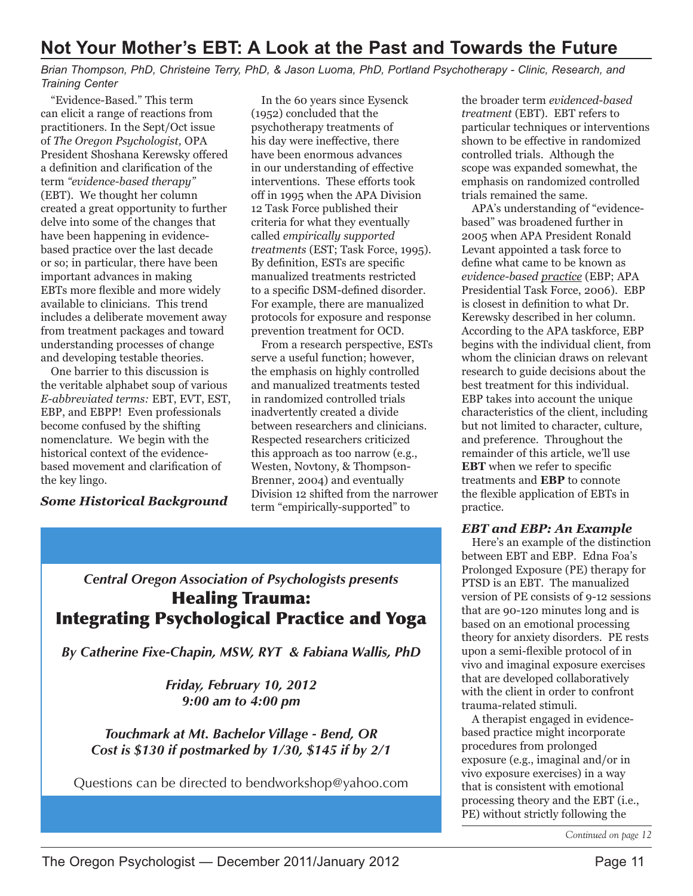# Not Your Mother's EBT: A Look at the Past and Towards the Future

Brian Thompson, PhD, Christeine Terry, PhD, & Jason Luoma, PhD, Portland Psychotherapy - Clinic, Research, and **Training Center** 

"Evidence-Based." This term can elicit a range of reactions from practitioners. In the Sept/Oct issue of The Oregon Psychologist, OPA President Shoshana Kerewsky offered a definition and clarification of the term "evidence-based therapy" (EBT). We thought her column created a great opportunity to further delve into some of the changes that have been happening in evidencebased practice over the last decade or so; in particular, there have been important advances in making EBTs more flexible and more widely available to clinicians. This trend includes a deliberate movement away from treatment packages and toward understanding processes of change and developing testable theories.

One barrier to this discussion is the veritable alphabet soup of various E-abbreviated terms: EBT, EVT, EST, EBP, and EBPP! Even professionals become confused by the shifting nomenclature. We begin with the historical context of the evidencebased movement and clarification of the key lingo.

**Some Historical Background** 

In the 60 years since Eysenck (1952) concluded that the psychotherapy treatments of his day were ineffective, there have been enormous advances in our understanding of effective interventions. These efforts took off in 1995 when the APA Division 12 Task Force published their criteria for what they eventually called empirically supported treatments (EST; Task Force, 1995). By definition, ESTs are specific manualized treatments restricted to a specific DSM-defined disorder. For example, there are manualized protocols for exposure and response prevention treatment for OCD.

From a research perspective, ESTs serve a useful function; however, the emphasis on highly controlled and manualized treatments tested in randomized controlled trials inadvertently created a divide between researchers and clinicians. Respected researchers criticized this approach as too narrow (e.g., Westen, Novtony, & Thompson-Brenner, 2004) and eventually Division 12 shifted from the narrower term "empirically-supported" to

## **Central Oregon Association of Psychologists presents Healing Trauma: Integrating Psychological Practice and Yoga**

By Catherine Fixe-Chapin, MSW, RYT & Fabiana Wallis, PhD

Friday, February 10, 2012 9:00 am to 4:00 pm

Touchmark at Mt. Bachelor Village - Bend, OR Cost is \$130 if postmarked by 1/30, \$145 if by 2/1

Questions can be directed to bendworkshop@yahoo.com

the broader term evidenced-based treatment (EBT). EBT refers to particular techniques or interventions shown to be effective in randomized controlled trials. Although the scope was expanded somewhat, the emphasis on randomized controlled trials remained the same.

APA's understanding of "evidencebased" was broadened further in 2005 when APA President Ronald Levant appointed a task force to define what came to be known as evidence-based practice (EBP; APA Presidential Task Force, 2006). EBP is closest in definition to what Dr. Kerewsky described in her column. According to the APA taskforce, EBP begins with the individual client, from whom the clinician draws on relevant research to guide decisions about the best treatment for this individual. EBP takes into account the unique characteristics of the client, including but not limited to character, culture, and preference. Throughout the remainder of this article, we'll use **EBT** when we refer to specific treatments and EBP to connote the flexible application of EBTs in practice.

## **EBT and EBP: An Example**

Here's an example of the distinction between EBT and EBP. Edna Foa's Prolonged Exposure (PE) therapy for PTSD is an EBT. The manualized version of PE consists of 9-12 sessions that are 90-120 minutes long and is based on an emotional processing theory for anxiety disorders. PE rests upon a semi-flexible protocol of in vivo and imaginal exposure exercises that are developed collaboratively with the client in order to confront trauma-related stimuli.

A therapist engaged in evidencebased practice might incorporate procedures from prolonged exposure (e.g., imaginal and/or in vivo exposure exercises) in a way that is consistent with emotional processing theory and the EBT (i.e., PE) without strictly following the

Continued on page 12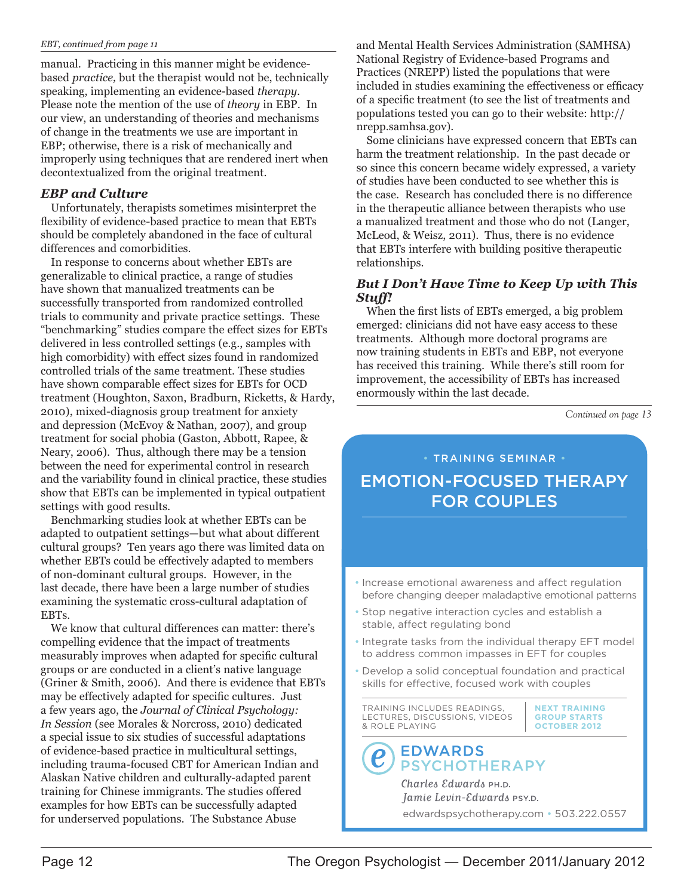#### EBT, continued from page 11

manual. Practicing in this manner might be evidencebased *practice*, but the therapist would not be, technically speaking, implementing an evidence-based therapy. Please note the mention of the use of theory in EBP. In our view, an understanding of theories and mechanisms of change in the treatments we use are important in EBP; otherwise, there is a risk of mechanically and improperly using techniques that are rendered inert when decontextualized from the original treatment.

## **EBP** and Culture

Unfortunately, therapists sometimes misinterpret the flexibility of evidence-based practice to mean that EBTs should be completely abandoned in the face of cultural differences and comorbidities.

In response to concerns about whether EBTs are generalizable to clinical practice, a range of studies have shown that manualized treatments can be successfully transported from randomized controlled trials to community and private practice settings. These "benchmarking" studies compare the effect sizes for EBTs delivered in less controlled settings (e.g., samples with high comorbidity) with effect sizes found in randomized controlled trials of the same treatment. These studies have shown comparable effect sizes for EBTs for OCD treatment (Houghton, Saxon, Bradburn, Ricketts, & Hardy, 2010), mixed-diagnosis group treatment for anxiety and depression (McEvoy & Nathan, 2007), and group treatment for social phobia (Gaston, Abbott, Rapee, & Neary, 2006). Thus, although there may be a tension between the need for experimental control in research and the variability found in clinical practice, these studies show that EBTs can be implemented in typical outpatient settings with good results.

Benchmarking studies look at whether EBTs can be adapted to outpatient settings—but what about different cultural groups? Ten years ago there was limited data on whether EBTs could be effectively adapted to members of non-dominant cultural groups. However, in the last decade, there have been a large number of studies examining the systematic cross-cultural adaptation of EBTs.

We know that cultural differences can matter: there's compelling evidence that the impact of treatments measurably improves when adapted for specific cultural groups or are conducted in a client's native language (Griner & Smith, 2006). And there is evidence that EBTs may be effectively adapted for specific cultures. Just a few years ago, the Journal of Clinical Psychology: In Session (see Morales & Norcross, 2010) dedicated a special issue to six studies of successful adaptations of evidence-based practice in multicultural settings, including trauma-focused CBT for American Indian and Alaskan Native children and culturally-adapted parent training for Chinese immigrants. The studies offered examples for how EBTs can be successfully adapted for underserved populations. The Substance Abuse

and Mental Health Services Administration (SAMHSA) National Registry of Evidence-based Programs and Practices (NREPP) listed the populations that were included in studies examining the effectiveness or efficacy of a specific treatment (to see the list of treatments and populations tested you can go to their website: http:// nrepp.samhsa.gov).

Some clinicians have expressed concern that EBTs can harm the treatment relationship. In the past decade or so since this concern became widely expressed, a variety of studies have been conducted to see whether this is the case. Research has concluded there is no difference in the therapeutic alliance between therapists who use a manualized treatment and those who do not (Langer, McLeod, & Weisz, 2011). Thus, there is no evidence that EBTs interfere with building positive therapeutic relationships.

### **But I Don't Have Time to Keep Up with This** Stuff!

When the first lists of EBTs emerged, a big problem emerged: clinicians did not have easy access to these treatments. Although more doctoral programs are now training students in EBTs and EBP, not everyone has received this training. While there's still room for improvement, the accessibility of EBTs has increased enormously within the last decade.

Continued on page 13

# **TRAINING SEMINAR EMOTION-FOCUSED THERAPY FOR COUPLES**

- Increase emotional awareness and affect regulation before changing deeper maladaptive emotional patterns
- Stop negative interaction cycles and establish a stable, affect regulating bond
- . Integrate tasks from the individual therapy EFT model to address common impasses in EFT for couples
- Develop a solid conceptual foundation and practical skills for effective, focused work with couples

TRAINING INCLUDES READINGS, LECTURES, DISCUSSIONS, VIDEOS & ROLE PLAYING

## **EDWARDS PSYCHOTHERAPY**

Charles Edwards PH.D. Jamie Levin-Edwards PSY.D. edwardspsychotherapy.com · 503.222.0557

**NEXT TRAINING** 

**GROUP STARTS** 

OCTOBER 2012